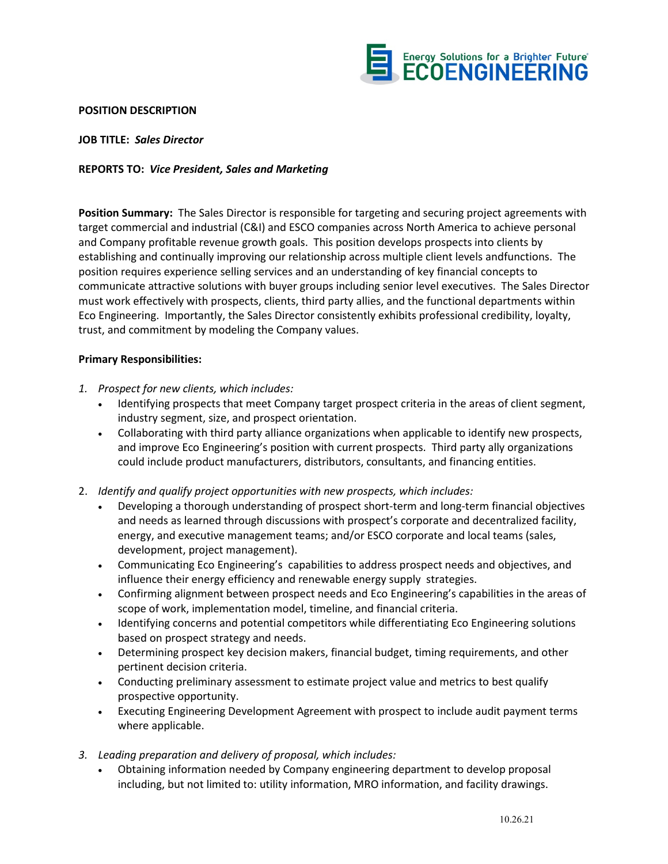

## **POSITION DESCRIPTION**

**JOB TITLE:** *Sales Director*

## **REPORTS TO:** *Vice President, Sales and Marketing*

**Position Summary:** The Sales Director is responsible for targeting and securing project agreements with target commercial and industrial (C&I) and ESCO companies across North America to achieve personal and Company profitable revenue growth goals. This position develops prospects into clients by establishing and continually improving our relationship across multiple client levels andfunctions. The position requires experience selling services and an understanding of key financial concepts to communicate attractive solutions with buyer groups including senior level executives. The Sales Director must work effectively with prospects, clients, third party allies, and the functional departments within Eco Engineering. Importantly, the Sales Director consistently exhibits professional credibility, loyalty, trust, and commitment by modeling the Company values.

## **Primary Responsibilities:**

- *1. Prospect for new clients, which includes:*
	- Identifying prospects that meet Company target prospect criteria in the areas of client segment, industry segment, size, and prospect orientation.
	- Collaborating with third party alliance organizations when applicable to identify new prospects, and improve Eco Engineering's position with current prospects. Third party ally organizations could include product manufacturers, distributors, consultants, and financing entities.
- 2. *Identify and qualify project opportunities with new prospects, which includes:*
	- Developing a thorough understanding of prospect short-term and long-term financial objectives and needs as learned through discussions with prospect's corporate and decentralized facility, energy, and executive management teams; and/or ESCO corporate and local teams (sales, development, project management).
	- Communicating Eco Engineering's capabilities to address prospect needs and objectives, and influence their energy efficiency and renewable energy supply strategies.
	- Confirming alignment between prospect needs and Eco Engineering's capabilities in the areas of scope of work, implementation model, timeline, and financial criteria.
	- Identifying concerns and potential competitors while differentiating Eco Engineering solutions based on prospect strategy and needs.
	- Determining prospect key decision makers, financial budget, timing requirements, and other pertinent decision criteria.
	- Conducting preliminary assessment to estimate project value and metrics to best qualify prospective opportunity.
	- Executing Engineering Development Agreement with prospect to include audit payment terms where applicable.
- *3. Leading preparation and delivery of proposal, which includes:*
	- Obtaining information needed by Company engineering department to develop proposal including, but not limited to: utility information, MRO information, and facility drawings.